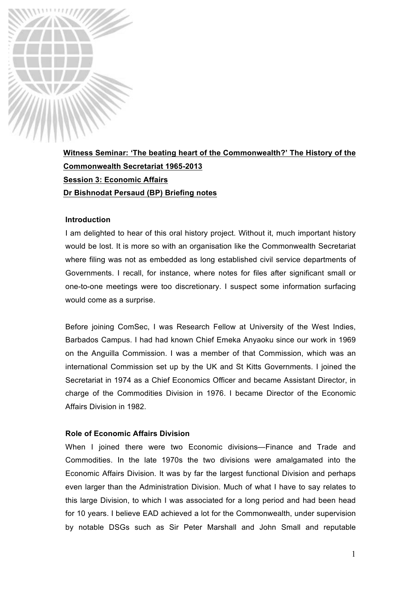

**Witness Seminar: 'The beating heart of the Commonwealth?' The History of the Commonwealth Secretariat 1965-2013 Session 3: Economic Affairs Dr Bishnodat Persaud (BP) Briefing notes**

#### **Introduction**

I am delighted to hear of this oral history project. Without it, much important history would be lost. It is more so with an organisation like the Commonwealth Secretariat where filing was not as embedded as long established civil service departments of Governments. I recall, for instance, where notes for files after significant small or one-to-one meetings were too discretionary. I suspect some information surfacing would come as a surprise.

Before joining ComSec, I was Research Fellow at University of the West Indies, Barbados Campus. I had had known Chief Emeka Anyaoku since our work in 1969 on the Anguilla Commission. I was a member of that Commission, which was an international Commission set up by the UK and St Kitts Governments. I joined the Secretariat in 1974 as a Chief Economics Officer and became Assistant Director, in charge of the Commodities Division in 1976. I became Director of the Economic Affairs Division in 1982.

## **Role of Economic Affairs Division**

When I joined there were two Economic divisions—Finance and Trade and Commodities. In the late 1970s the two divisions were amalgamated into the Economic Affairs Division. It was by far the largest functional Division and perhaps even larger than the Administration Division. Much of what I have to say relates to this large Division, to which I was associated for a long period and had been head for 10 years. I believe EAD achieved a lot for the Commonwealth, under supervision by notable DSGs such as Sir Peter Marshall and John Small and reputable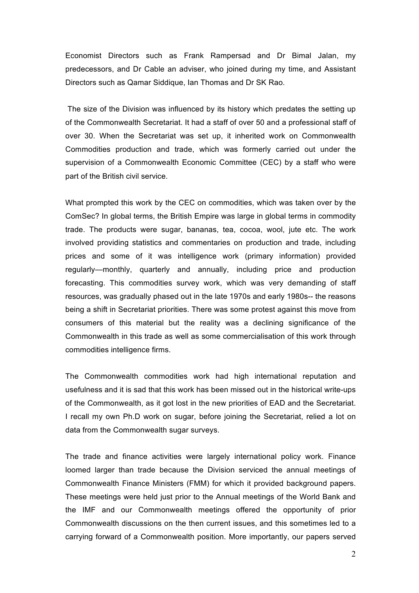Economist Directors such as Frank Rampersad and Dr Bimal Jalan, my predecessors, and Dr Cable an adviser, who joined during my time, and Assistant Directors such as Qamar Siddique, Ian Thomas and Dr SK Rao.

The size of the Division was influenced by its history which predates the setting up of the Commonwealth Secretariat. It had a staff of over 50 and a professional staff of over 30. When the Secretariat was set up, it inherited work on Commonwealth Commodities production and trade, which was formerly carried out under the supervision of a Commonwealth Economic Committee (CEC) by a staff who were part of the British civil service.

What prompted this work by the CEC on commodities, which was taken over by the ComSec? In global terms, the British Empire was large in global terms in commodity trade. The products were sugar, bananas, tea, cocoa, wool, jute etc. The work involved providing statistics and commentaries on production and trade, including prices and some of it was intelligence work (primary information) provided regularly—monthly, quarterly and annually, including price and production forecasting. This commodities survey work, which was very demanding of staff resources, was gradually phased out in the late 1970s and early 1980s-- the reasons being a shift in Secretariat priorities. There was some protest against this move from consumers of this material but the reality was a declining significance of the Commonwealth in this trade as well as some commercialisation of this work through commodities intelligence firms.

The Commonwealth commodities work had high international reputation and usefulness and it is sad that this work has been missed out in the historical write-ups of the Commonwealth, as it got lost in the new priorities of EAD and the Secretariat. I recall my own Ph.D work on sugar, before joining the Secretariat, relied a lot on data from the Commonwealth sugar surveys.

The trade and finance activities were largely international policy work. Finance loomed larger than trade because the Division serviced the annual meetings of Commonwealth Finance Ministers (FMM) for which it provided background papers. These meetings were held just prior to the Annual meetings of the World Bank and the IMF and our Commonwealth meetings offered the opportunity of prior Commonwealth discussions on the then current issues, and this sometimes led to a carrying forward of a Commonwealth position. More importantly, our papers served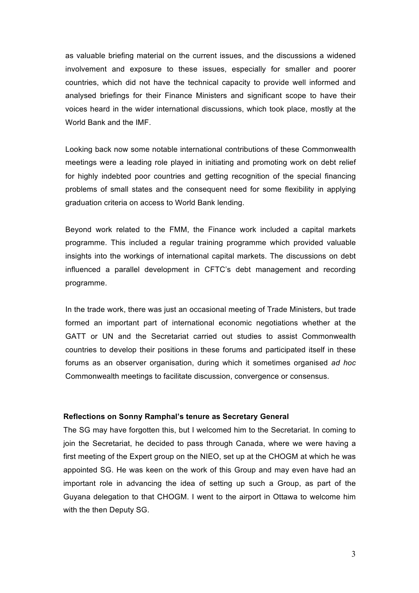as valuable briefing material on the current issues, and the discussions a widened involvement and exposure to these issues, especially for smaller and poorer countries, which did not have the technical capacity to provide well informed and analysed briefings for their Finance Ministers and significant scope to have their voices heard in the wider international discussions, which took place, mostly at the World Bank and the IMF.

Looking back now some notable international contributions of these Commonwealth meetings were a leading role played in initiating and promoting work on debt relief for highly indebted poor countries and getting recognition of the special financing problems of small states and the consequent need for some flexibility in applying graduation criteria on access to World Bank lending.

Beyond work related to the FMM, the Finance work included a capital markets programme. This included a regular training programme which provided valuable insights into the workings of international capital markets. The discussions on debt influenced a parallel development in CFTC's debt management and recording programme.

In the trade work, there was just an occasional meeting of Trade Ministers, but trade formed an important part of international economic negotiations whether at the GATT or UN and the Secretariat carried out studies to assist Commonwealth countries to develop their positions in these forums and participated itself in these forums as an observer organisation, during which it sometimes organised *ad hoc* Commonwealth meetings to facilitate discussion, convergence or consensus.

### **Reflections on Sonny Ramphal's tenure as Secretary General**

The SG may have forgotten this, but I welcomed him to the Secretariat. In coming to join the Secretariat, he decided to pass through Canada, where we were having a first meeting of the Expert group on the NIEO, set up at the CHOGM at which he was appointed SG. He was keen on the work of this Group and may even have had an important role in advancing the idea of setting up such a Group, as part of the Guyana delegation to that CHOGM. I went to the airport in Ottawa to welcome him with the then Deputy SG.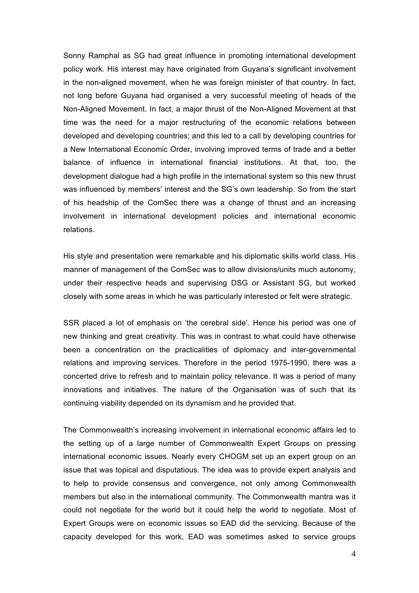Sonny Ramphal as SG had great influence in promoting international development policy work. His interest may have originated from Guyana's significant involvement in the non-aligned movement, when he was foreign minister of that country. In fact, not long before Guyana had organised a very successful meeting of heads of the Non-Aligned Movement. In fact, a major thrust of the Non-Aligned Movement at that time was the need for a major restructuring of the economic relations between developed and developing countries; and this led to a call by developing countries for a New International Economic Order, involving improved terms of trade and a better balance of influence in international financial institutions. At that, too, the development dialogue had a high profile in the international system so this new thrust was influenced by members' interest and the SG's own leadership. So from the start of his headship of the ComSec there was a change of thrust and an increasing involvement in international development policies and international economic relations.

His style and presentation were remarkable and his diplomatic skills world class. His manner of management of the ComSec was to allow divisions/units much autonomy, under their respective heads and supervising DSG or Assistant SG, but worked closely with some areas in which he was particularly interested or felt were strategic.

SSR placed a lot of emphasis on 'the cerebral side'. Hence his period was one of new thinking and great creativity. This was in contrast to what could have otherwise been a concentration on the practicalities of diplomacy and inter-governmental relations and improving services. Therefore in the period 1975-1990, there was a concerted drive to refresh and to maintain policy relevance. It was a period of many innovations and initiatives. The nature of the Organisation was of such that its continuing viability depended on its dynamism and he provided that.

The Commonwealth's increasing involvement in international economic affairs led to the setting up of a large number of Commonwealth Expert Groups on pressing international economic issues. Nearly every CHOGM set up an expert group on an issue that was topical and disputatious. The idea was to provide expert analysis and to help to provide consensus and convergence, not only among Commonwealth members but also in the international community. The Commonwealth mantra was it could not negotiate for the world but it could help the world to negotiate. Most of Expert Groups were on economic issues so EAD did the servicing. Because of the capacity developed for this work, EAD was sometimes asked to service groups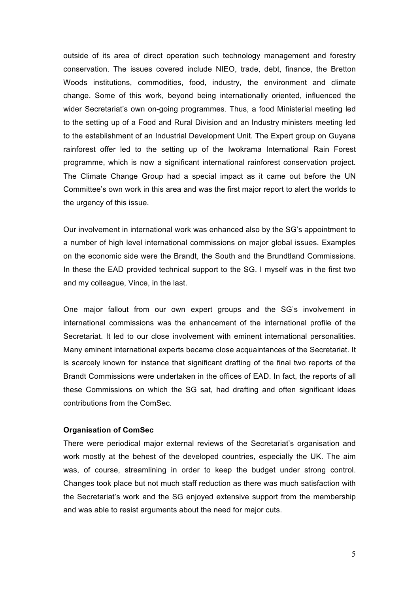outside of its area of direct operation such technology management and forestry conservation. The issues covered include NIEO, trade, debt, finance, the Bretton Woods institutions, commodities, food, industry, the environment and climate change. Some of this work, beyond being internationally oriented, influenced the wider Secretariat's own on-going programmes. Thus, a food Ministerial meeting led to the setting up of a Food and Rural Division and an Industry ministers meeting led to the establishment of an Industrial Development Unit. The Expert group on Guyana rainforest offer led to the setting up of the Iwokrama International Rain Forest programme, which is now a significant international rainforest conservation project. The Climate Change Group had a special impact as it came out before the UN Committee's own work in this area and was the first major report to alert the worlds to the urgency of this issue.

Our involvement in international work was enhanced also by the SG's appointment to a number of high level international commissions on major global issues. Examples on the economic side were the Brandt, the South and the Brundtland Commissions. In these the EAD provided technical support to the SG. I myself was in the first two and my colleague, Vince, in the last.

One major fallout from our own expert groups and the SG's involvement in international commissions was the enhancement of the international profile of the Secretariat. It led to our close involvement with eminent international personalities. Many eminent international experts became close acquaintances of the Secretariat. It is scarcely known for instance that significant drafting of the final two reports of the Brandt Commissions were undertaken in the offices of EAD. In fact, the reports of all these Commissions on which the SG sat, had drafting and often significant ideas contributions from the ComSec.

# **Organisation of ComSec**

There were periodical major external reviews of the Secretariat's organisation and work mostly at the behest of the developed countries, especially the UK. The aim was, of course, streamlining in order to keep the budget under strong control. Changes took place but not much staff reduction as there was much satisfaction with the Secretariat's work and the SG enjoyed extensive support from the membership and was able to resist arguments about the need for major cuts.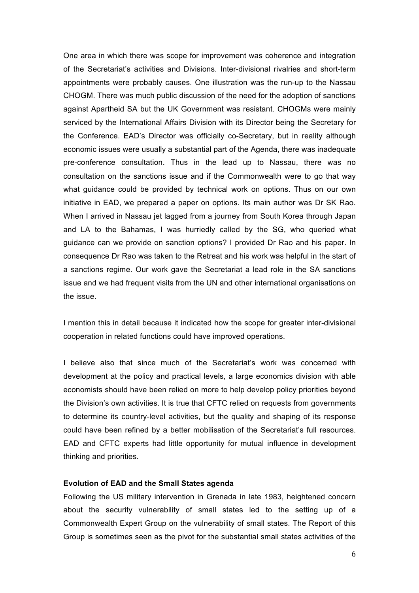One area in which there was scope for improvement was coherence and integration of the Secretariat's activities and Divisions. Inter-divisional rivalries and short-term appointments were probably causes. One illustration was the run-up to the Nassau CHOGM. There was much public discussion of the need for the adoption of sanctions against Apartheid SA but the UK Government was resistant. CHOGMs were mainly serviced by the International Affairs Division with its Director being the Secretary for the Conference. EAD's Director was officially co-Secretary, but in reality although economic issues were usually a substantial part of the Agenda, there was inadequate pre-conference consultation. Thus in the lead up to Nassau, there was no consultation on the sanctions issue and if the Commonwealth were to go that way what guidance could be provided by technical work on options. Thus on our own initiative in EAD, we prepared a paper on options. Its main author was Dr SK Rao. When I arrived in Nassau jet lagged from a journey from South Korea through Japan and LA to the Bahamas, I was hurriedly called by the SG, who queried what guidance can we provide on sanction options? I provided Dr Rao and his paper. In consequence Dr Rao was taken to the Retreat and his work was helpful in the start of a sanctions regime. Our work gave the Secretariat a lead role in the SA sanctions issue and we had frequent visits from the UN and other international organisations on the issue.

I mention this in detail because it indicated how the scope for greater inter-divisional cooperation in related functions could have improved operations.

I believe also that since much of the Secretariat's work was concerned with development at the policy and practical levels, a large economics division with able economists should have been relied on more to help develop policy priorities beyond the Division's own activities. It is true that CFTC relied on requests from governments to determine its country-level activities, but the quality and shaping of its response could have been refined by a better mobilisation of the Secretariat's full resources. EAD and CFTC experts had little opportunity for mutual influence in development thinking and priorities.

### **Evolution of EAD and the Small States agenda**

Following the US military intervention in Grenada in late 1983, heightened concern about the security vulnerability of small states led to the setting up of a Commonwealth Expert Group on the vulnerability of small states. The Report of this Group is sometimes seen as the pivot for the substantial small states activities of the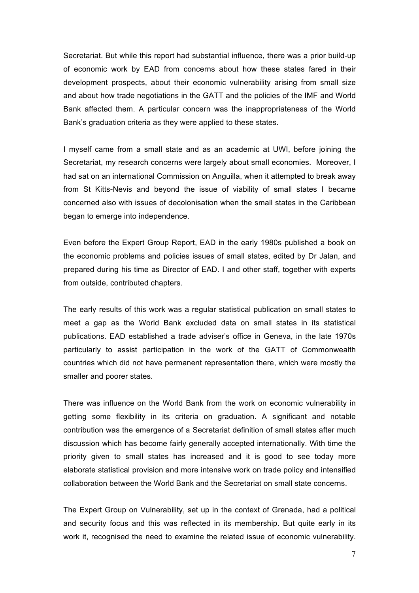Secretariat. But while this report had substantial influence, there was a prior build-up of economic work by EAD from concerns about how these states fared in their development prospects, about their economic vulnerability arising from small size and about how trade negotiations in the GATT and the policies of the IMF and World Bank affected them. A particular concern was the inappropriateness of the World Bank's graduation criteria as they were applied to these states.

I myself came from a small state and as an academic at UWI, before joining the Secretariat, my research concerns were largely about small economies. Moreover, I had sat on an international Commission on Anguilla, when it attempted to break away from St Kitts-Nevis and beyond the issue of viability of small states I became concerned also with issues of decolonisation when the small states in the Caribbean began to emerge into independence.

Even before the Expert Group Report, EAD in the early 1980s published a book on the economic problems and policies issues of small states, edited by Dr Jalan, and prepared during his time as Director of EAD. I and other staff, together with experts from outside, contributed chapters.

The early results of this work was a regular statistical publication on small states to meet a gap as the World Bank excluded data on small states in its statistical publications. EAD established a trade adviser's office in Geneva, in the late 1970s particularly to assist participation in the work of the GATT of Commonwealth countries which did not have permanent representation there, which were mostly the smaller and poorer states.

There was influence on the World Bank from the work on economic vulnerability in getting some flexibility in its criteria on graduation. A significant and notable contribution was the emergence of a Secretariat definition of small states after much discussion which has become fairly generally accepted internationally. With time the priority given to small states has increased and it is good to see today more elaborate statistical provision and more intensive work on trade policy and intensified collaboration between the World Bank and the Secretariat on small state concerns.

The Expert Group on Vulnerability, set up in the context of Grenada, had a political and security focus and this was reflected in its membership. But quite early in its work it, recognised the need to examine the related issue of economic vulnerability.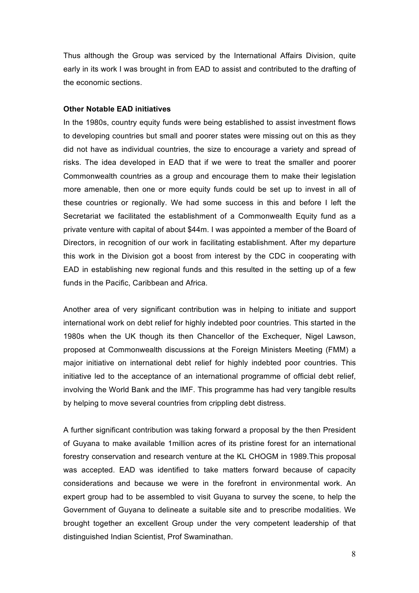Thus although the Group was serviced by the International Affairs Division, quite early in its work I was brought in from EAD to assist and contributed to the drafting of the economic sections.

### **Other Notable EAD initiatives**

In the 1980s, country equity funds were being established to assist investment flows to developing countries but small and poorer states were missing out on this as they did not have as individual countries, the size to encourage a variety and spread of risks. The idea developed in EAD that if we were to treat the smaller and poorer Commonwealth countries as a group and encourage them to make their legislation more amenable, then one or more equity funds could be set up to invest in all of these countries or regionally. We had some success in this and before I left the Secretariat we facilitated the establishment of a Commonwealth Equity fund as a private venture with capital of about \$44m. I was appointed a member of the Board of Directors, in recognition of our work in facilitating establishment. After my departure this work in the Division got a boost from interest by the CDC in cooperating with EAD in establishing new regional funds and this resulted in the setting up of a few funds in the Pacific, Caribbean and Africa.

Another area of very significant contribution was in helping to initiate and support international work on debt relief for highly indebted poor countries. This started in the 1980s when the UK though its then Chancellor of the Exchequer, Nigel Lawson, proposed at Commonwealth discussions at the Foreign Ministers Meeting (FMM) a major initiative on international debt relief for highly indebted poor countries. This initiative led to the acceptance of an international programme of official debt relief, involving the World Bank and the IMF. This programme has had very tangible results by helping to move several countries from crippling debt distress.

A further significant contribution was taking forward a proposal by the then President of Guyana to make available 1million acres of its pristine forest for an international forestry conservation and research venture at the KL CHOGM in 1989.This proposal was accepted. EAD was identified to take matters forward because of capacity considerations and because we were in the forefront in environmental work. An expert group had to be assembled to visit Guyana to survey the scene, to help the Government of Guyana to delineate a suitable site and to prescribe modalities. We brought together an excellent Group under the very competent leadership of that distinguished Indian Scientist, Prof Swaminathan.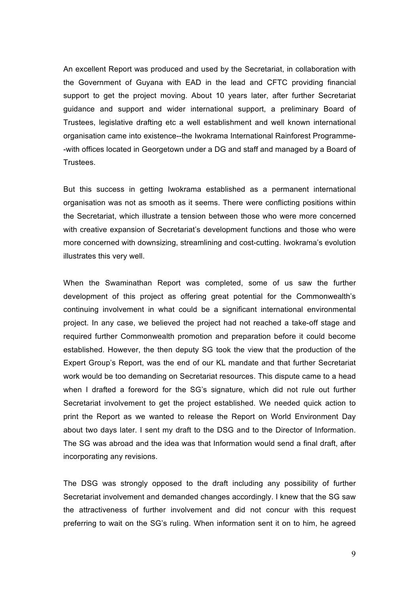An excellent Report was produced and used by the Secretariat, in collaboration with the Government of Guyana with EAD in the lead and CFTC providing financial support to get the project moving. About 10 years later, after further Secretariat guidance and support and wider international support, a preliminary Board of Trustees, legislative drafting etc a well establishment and well known international organisation came into existence--the Iwokrama International Rainforest Programme- -with offices located in Georgetown under a DG and staff and managed by a Board of Trustees.

But this success in getting Iwokrama established as a permanent international organisation was not as smooth as it seems. There were conflicting positions within the Secretariat, which illustrate a tension between those who were more concerned with creative expansion of Secretariat's development functions and those who were more concerned with downsizing, streamlining and cost-cutting. Iwokrama's evolution illustrates this very well.

When the Swaminathan Report was completed, some of us saw the further development of this project as offering great potential for the Commonwealth's continuing involvement in what could be a significant international environmental project. In any case, we believed the project had not reached a take-off stage and required further Commonwealth promotion and preparation before it could become established. However, the then deputy SG took the view that the production of the Expert Group's Report, was the end of our KL mandate and that further Secretariat work would be too demanding on Secretariat resources. This dispute came to a head when I drafted a foreword for the SG's signature, which did not rule out further Secretariat involvement to get the project established. We needed quick action to print the Report as we wanted to release the Report on World Environment Day about two days later. I sent my draft to the DSG and to the Director of Information. The SG was abroad and the idea was that Information would send a final draft, after incorporating any revisions.

The DSG was strongly opposed to the draft including any possibility of further Secretariat involvement and demanded changes accordingly. I knew that the SG saw the attractiveness of further involvement and did not concur with this request preferring to wait on the SG's ruling. When information sent it on to him, he agreed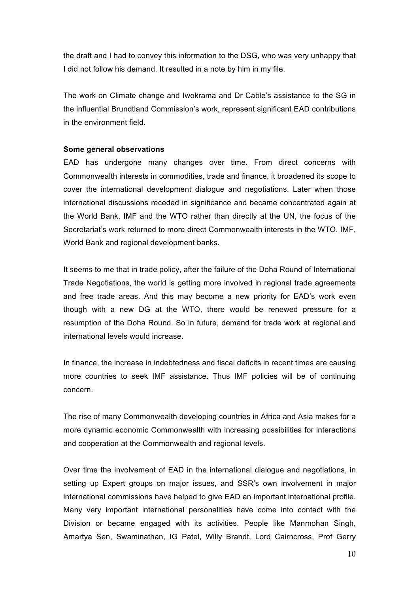the draft and I had to convey this information to the DSG, who was very unhappy that I did not follow his demand. It resulted in a note by him in my file.

The work on Climate change and Iwokrama and Dr Cable's assistance to the SG in the influential Brundtland Commission's work, represent significant EAD contributions in the environment field.

### **Some general observations**

EAD has undergone many changes over time. From direct concerns with Commonwealth interests in commodities, trade and finance, it broadened its scope to cover the international development dialogue and negotiations. Later when those international discussions receded in significance and became concentrated again at the World Bank, IMF and the WTO rather than directly at the UN, the focus of the Secretariat's work returned to more direct Commonwealth interests in the WTO, IMF, World Bank and regional development banks.

It seems to me that in trade policy, after the failure of the Doha Round of International Trade Negotiations, the world is getting more involved in regional trade agreements and free trade areas. And this may become a new priority for EAD's work even though with a new DG at the WTO, there would be renewed pressure for a resumption of the Doha Round. So in future, demand for trade work at regional and international levels would increase.

In finance, the increase in indebtedness and fiscal deficits in recent times are causing more countries to seek IMF assistance. Thus IMF policies will be of continuing concern.

The rise of many Commonwealth developing countries in Africa and Asia makes for a more dynamic economic Commonwealth with increasing possibilities for interactions and cooperation at the Commonwealth and regional levels.

Over time the involvement of EAD in the international dialogue and negotiations, in setting up Expert groups on major issues, and SSR's own involvement in major international commissions have helped to give EAD an important international profile. Many very important international personalities have come into contact with the Division or became engaged with its activities. People like Manmohan Singh, Amartya Sen, Swaminathan, IG Patel, Willy Brandt, Lord Cairncross, Prof Gerry